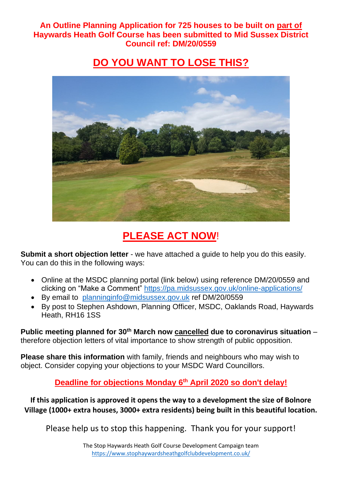**An Outline Planning Application for 725 houses to be built on part of Haywards Heath Golf Course has been submitted to Mid Sussex District Council ref: DM/20/0559**

## **DO YOU WANT TO LOSE THIS?**



# **PLEASE ACT NOW**!

**Submit a short objection letter** - we have attached a guide to help you do this easily. You can do this in the following ways:

- Online at the MSDC planning portal (link below) using reference DM/20/0559 and clicking on "Make a Comment" <https://pa.midsussex.gov.uk/online-applications/>
- By email to [planninginfo@midsussex.gov.uk](mailto:planninginfo@midsussex.gov.uk) ref DM/20/0559
- By post to Stephen Ashdown, Planning Officer, MSDC, Oaklands Road, Haywards Heath, RH16 1SS

**Public meeting planned for 30th March now cancelled due to coronavirus situation** – therefore objection letters of vital importance to show strength of public opposition.

**Please share this information** with family, friends and neighbours who may wish to object. Consider copying your objections to your MSDC Ward Councillors.

**Deadline for objections Monday 6 th April 2020 so don't delay!**

**If this application is approved it opens the way to a development the size of Bolnore Village (1000+ extra houses, 3000+ extra residents) being built in this beautiful location.**

Please help us to stop this happening. Thank you for your support!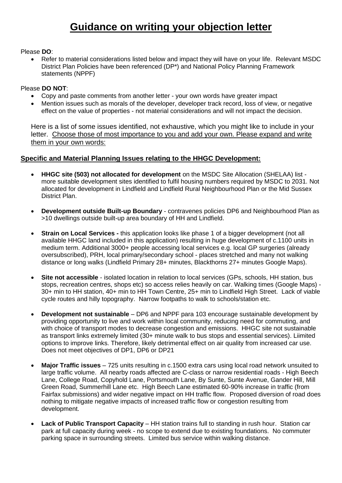#### Please **DO**:

• Refer to material considerations listed below and impact they will have on your life. Relevant MSDC District Plan Policies have been referenced (DP\*) and National Policy Planning Framework statements (NPPF)

#### Please **DO NOT**:

- Copy and paste comments from another letter your own words have greater impact
- Mention issues such as morals of the developer, developer track record, loss of view, or negative effect on the value of properties - not material considerations and will not impact the decision.

Here is a list of some issues identified, not exhaustive, which you might like to include in your letter. Choose those of most importance to you and add your own. Please expand and write them in your own words:

### **Specific and Material Planning Issues relating to the HHGC Development:**

- **HHGC site (503) not allocated for development** on the MSDC Site Allocation (SHELAA) list more suitable development sites identified to fulfil housing numbers required by MSDC to 2031. Not allocated for development in Lindfield and Lindfield Rural Neighbourhood Plan or the Mid Sussex District Plan.
- **Development outside Built-up Boundary** contravenes policies DP6 and Neighbourhood Plan as >10 dwellings outside built-up area boundary of HH and Lindfield.
- **Strain on Local Services -** this application looks like phase 1 of a bigger development (not all available HHGC land included in this application) resulting in huge development of c.1100 units in medium term. Additional 3000+ people accessing local services e.g. local GP surgeries (already oversubscribed), PRH, local primary/secondary school - places stretched and many not walking distance or long walks (Lindfield Primary 28+ minutes, Blackthorns 27+ minutes Google Maps).
- **Site not accessible**  isolated location in relation to local services (GPs, schools, HH station, bus stops, recreation centres, shops etc) so access relies heavily on car. Walking times (Google Maps) - 30+ min to HH station, 40+ min to HH Town Centre, 25+ min to Lindfield High Street. Lack of viable cycle routes and hilly topography. Narrow footpaths to walk to schools/station etc.
- **Development not sustainable** DP6 and NPPF para 103 encourage sustainable development by providing opportunity to live and work within local community, reducing need for commuting, and with choice of transport modes to decrease congestion and emissions. HHGC site not sustainable as transport links extremely limited (30+ minute walk to bus stops and essential services). Liimited options to improve links. Therefore, likely detrimental effect on air quality from increased car use. Does not meet objectives of DP1, DP6 or DP21
- **Major Traffic issues** 725 units resulting in c.1500 extra cars using local road network unsuited to large traffic volume. All nearby roads affected are C-class or narrow residential roads - High Beech Lane, College Road, Copyhold Lane, Portsmouth Lane, By Sunte, Sunte Avenue, Gander Hill, Mill Green Road, Summerhill Lane etc. High Beech Lane estimated 60-90% increase in traffic (from Fairfax submissions) and wider negative impact on HH traffic flow. Proposed diversion of road does nothing to mitigate negative impacts of increased traffic flow or congestion resulting from development.
- **Lack of Public Transport Capacity** HH station trains full to standing in rush hour. Station car park at full capacity during week - no scope to extend due to existing foundations. No commuter parking space in surrounding streets. Limited bus service within walking distance.